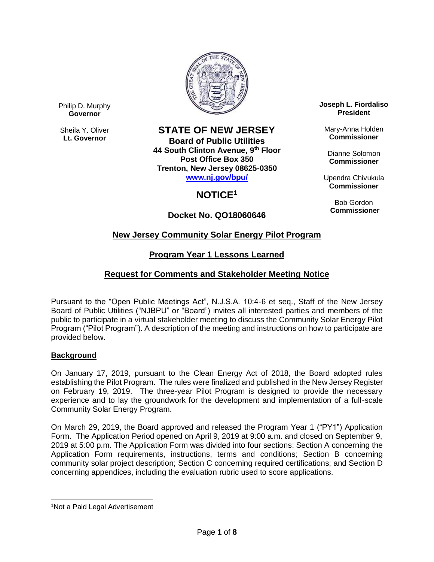

Philip D. Murphy **Governor**

Sheila Y. Oliver **Lt. Governor**

# **STATE OF NEW JERSEY**

**Board of Public Utilities 44 South Clinton Avenue, 9th Floor Post Office Box 350 Trenton, New Jersey 08625-0350 [www.nj.gov/bpu/](http://www.nj.gov/bpu/)**

# **NOTICE<sup>1</sup>**

# **Docket No. QO18060646**

**Joseph L. Fiordaliso President**

Mary-Anna Holden **Commissioner**

Dianne Solomon **Commissioner**

Upendra Chivukula **Commissioner**

Bob Gordon **Commissioner**

# **New Jersey Community Solar Energy Pilot Program**

## **Program Year 1 Lessons Learned**

## **Request for Comments and Stakeholder Meeting Notice**

Pursuant to the "Open Public Meetings Act", N.J.S.A. 10:4-6 et seq., Staff of the New Jersey Board of Public Utilities ("NJBPU" or "Board") invites all interested parties and members of the public to participate in a virtual stakeholder meeting to discuss the Community Solar Energy Pilot Program ("Pilot Program"). A description of the meeting and instructions on how to participate are provided below.

### **Background**

On January 17, 2019, pursuant to the Clean Energy Act of 2018, the Board adopted rules establishing the Pilot Program. The rules were finalized and published in the New Jersey Register on February 19, 2019. The three-year Pilot Program is designed to provide the necessary experience and to lay the groundwork for the development and implementation of a full-scale Community Solar Energy Program.

On March 29, 2019, the Board approved and released the Program Year 1 ("PY1") Application Form. The Application Period opened on April 9, 2019 at 9:00 a.m. and closed on September 9, 2019 at 5:00 p.m. The Application Form was divided into four sections: Section A concerning the Application Form requirements, instructions, terms and conditions; Section B concerning community solar project description; Section C concerning required certifications; and Section D concerning appendices, including the evaluation rubric used to score applications.

 $\overline{a}$ <sup>1</sup>Not a Paid Legal Advertisement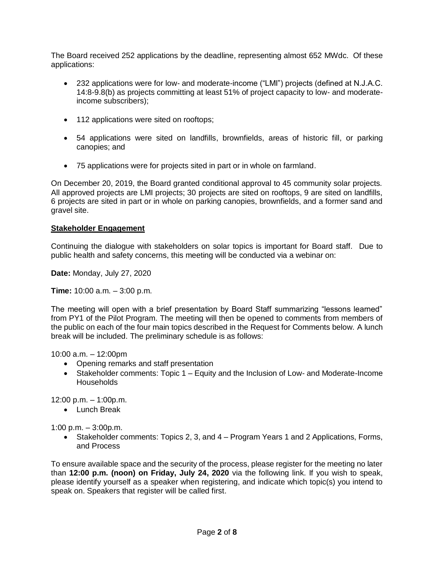The Board received 252 applications by the deadline, representing almost 652 MWdc. Of these applications:

- 232 applications were for low- and moderate-income ("LMI") projects (defined at N.J.A.C. 14:8-9.8(b) as projects committing at least 51% of project capacity to low- and moderateincome subscribers);
- 112 applications were sited on rooftops;
- 54 applications were sited on landfills, brownfields, areas of historic fill, or parking canopies; and
- 75 applications were for projects sited in part or in whole on farmland.

On December 20, 2019, the Board granted conditional approval to 45 community solar projects. All approved projects are LMI projects; 30 projects are sited on rooftops, 9 are sited on landfills, 6 projects are sited in part or in whole on parking canopies, brownfields, and a former sand and gravel site.

### **Stakeholder Engagement**

Continuing the dialogue with stakeholders on solar topics is important for Board staff. Due to public health and safety concerns, this meeting will be conducted via a webinar on:

**Date:** Monday, July 27, 2020

**Time:** 10:00 a.m. – 3:00 p.m.

The meeting will open with a brief presentation by Board Staff summarizing "lessons learned" from PY1 of the Pilot Program. The meeting will then be opened to comments from members of the public on each of the four main topics described in the Request for Comments below. A lunch break will be included. The preliminary schedule is as follows:

10:00 a.m. – 12:00pm

- Opening remarks and staff presentation
- Stakeholder comments: Topic 1 Equity and the Inclusion of Low- and Moderate-Income **Households**

12:00 p.m. – 1:00p.m.

• Lunch Break

1:00 p.m. – 3:00p.m.

 Stakeholder comments: Topics 2, 3, and 4 – Program Years 1 and 2 Applications, Forms, and Process

To ensure available space and the security of the process, please register for the meeting no later than **12:00 p.m. (noon) on Friday, July 24, 2020** via the following link. If you wish to speak, please identify yourself as a speaker when registering, and indicate which topic(s) you intend to speak on. Speakers that register will be called first.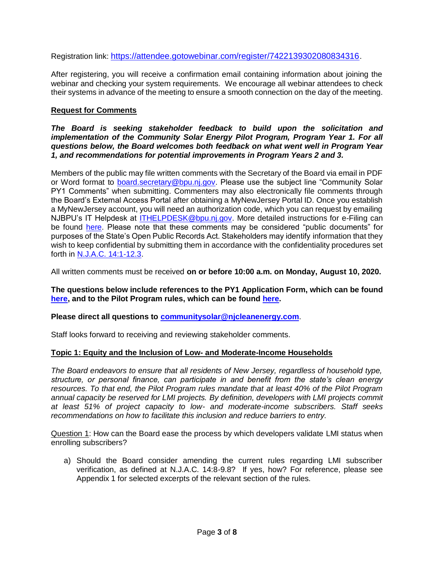Registration link: <https://attendee.gotowebinar.com/register/7422139302080834316>.

After registering, you will receive a confirmation email containing information about joining the webinar and checking your system requirements. We encourage all webinar attendees to check their systems in advance of the meeting to ensure a smooth connection on the day of the meeting.

### **Request for Comments**

*The Board is seeking stakeholder feedback to build upon the solicitation and implementation of the Community Solar Energy Pilot Program, Program Year 1. For all questions below, the Board welcomes both feedback on what went well in Program Year 1, and recommendations for potential improvements in Program Years 2 and 3.*

Members of the public may file written comments with the Secretary of the Board via email in PDF or Word format to [board.secretary@bpu.nj.gov.](mailto:board.secretary@bpu.nj.gov) Please use the subject line "Community Solar PY1 Comments" when submitting. Commenters may also electronically file comments through the Board's External Access Portal after obtaining a MyNewJersey Portal ID. Once you establish a MyNewJersey account, you will need an authorization code, which you can request by emailing NJBPU's IT Helpdesk at **ITHELPDESK@bpu.nj.gov.** More detailed instructions for e-Filing can be found [here.](https://www.nj.gov/bpu/agenda/efiling/) Please note that these comments may be considered "public documents" for purposes of the State's Open Public Records Act. Stakeholders may identify information that they wish to keep confidential by submitting them in accordance with the confidentiality procedures set forth in [N.J.A.C. 14:1-12.3.](https://www.njcleanenergy.com/files/file/OPRA%20Rules.pdf)

All written comments must be received **on or before 10:00 a.m. on Monday, August 10, 2020.**

#### **The questions below include references to the PY1 Application Form, which can be found [here,](https://njcleanenergy.com/files/file/CommunitySolar/8E%20-%20Community%20Solar%20Energy%20Pilot%20Program%20Application%20Form_fillable.pdf) and to the Pilot Program rules, which can be found [here.](https://njcleanenergy.com/files/file/R_2019%20d_021%20(51%20N_J_R_%20232(a)).pdf)**

#### **Please direct all questions to [communitysolar@njcleanenergy.com](mailto:communitysolar@njcleanenergy.com)**.

Staff looks forward to receiving and reviewing stakeholder comments.

#### **Topic 1: Equity and the Inclusion of Low- and Moderate-Income Households**

*The Board endeavors to ensure that all residents of New Jersey, regardless of household type, structure, or personal finance, can participate in and benefit from the state's clean energy resources. To that end, the Pilot Program rules mandate that at least 40% of the Pilot Program annual capacity be reserved for LMI projects. By definition, developers with LMI projects commit at least 51% of project capacity to low- and moderate-income subscribers. Staff seeks recommendations on how to facilitate this inclusion and reduce barriers to entry.*

Question 1: How can the Board ease the process by which developers validate LMI status when enrolling subscribers?

a) Should the Board consider amending the current rules regarding LMI subscriber verification, as defined at N.J.A.C. 14:8-9.8? If yes, how? For reference, please see Appendix 1 for selected excerpts of the relevant section of the rules.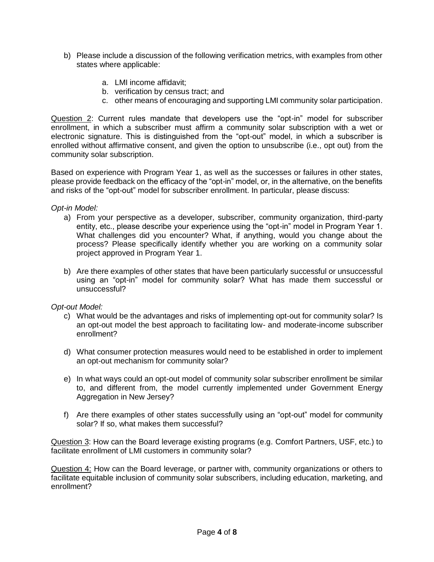- b) Please include a discussion of the following verification metrics, with examples from other states where applicable:
	- a. LMI income affidavit;
	- b. verification by census tract; and
	- c. other means of encouraging and supporting LMI community solar participation.

Question 2: Current rules mandate that developers use the "opt-in" model for subscriber enrollment, in which a subscriber must affirm a community solar subscription with a wet or electronic signature. This is distinguished from the "opt-out" model, in which a subscriber is enrolled without affirmative consent, and given the option to unsubscribe (i.e., opt out) from the community solar subscription.

Based on experience with Program Year 1, as well as the successes or failures in other states, please provide feedback on the efficacy of the "opt-in" model, or, in the alternative, on the benefits and risks of the "opt-out" model for subscriber enrollment. In particular, please discuss:

*Opt-in Model:*

- a) From your perspective as a developer, subscriber, community organization, third-party entity, etc., please describe your experience using the "opt-in" model in Program Year 1. What challenges did you encounter? What, if anything, would you change about the process? Please specifically identify whether you are working on a community solar project approved in Program Year 1.
- b) Are there examples of other states that have been particularly successful or unsuccessful using an "opt-in" model for community solar? What has made them successful or unsuccessful?

#### *Opt-out Model:*

- c) What would be the advantages and risks of implementing opt-out for community solar? Is an opt-out model the best approach to facilitating low- and moderate-income subscriber enrollment?
- d) What consumer protection measures would need to be established in order to implement an opt-out mechanism for community solar?
- e) In what ways could an opt-out model of community solar subscriber enrollment be similar to, and different from, the model currently implemented under Government Energy Aggregation in New Jersey?
- f) Are there examples of other states successfully using an "opt-out" model for community solar? If so, what makes them successful?

Question 3: How can the Board leverage existing programs (e.g. Comfort Partners, USF, etc.) to facilitate enrollment of LMI customers in community solar?

Question 4: How can the Board leverage, or partner with, community organizations or others to facilitate equitable inclusion of community solar subscribers, including education, marketing, and enrollment?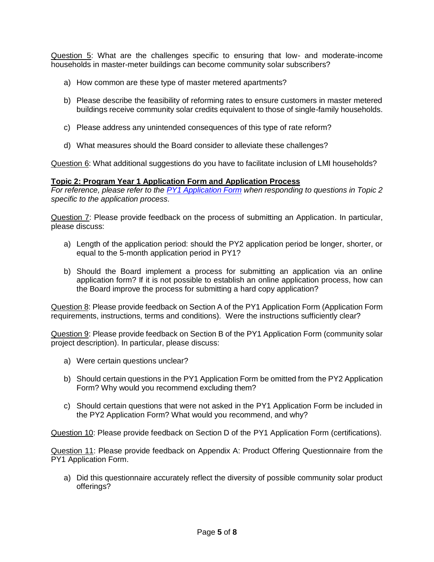Question 5: What are the challenges specific to ensuring that low- and moderate-income households in master-meter buildings can become community solar subscribers?

- a) How common are these type of master metered apartments?
- b) Please describe the feasibility of reforming rates to ensure customers in master metered buildings receive community solar credits equivalent to those of single-family households.
- c) Please address any unintended consequences of this type of rate reform?
- d) What measures should the Board consider to alleviate these challenges?

Question 6: What additional suggestions do you have to facilitate inclusion of LMI households?

#### **Topic 2: Program Year 1 Application Form and Application Process**

*For reference, please refer to the [PY1 Application Form](https://www.njcleanenergy.com/files/file/CommunitySolar/8E%20-%20Community%20Solar%20Energy%20Pilot%20Program%20Application%20Form_fillable.pdf) when responding to questions in Topic 2 specific to the application process.*

Question 7: Please provide feedback on the process of submitting an Application. In particular, please discuss:

- a) Length of the application period: should the PY2 application period be longer, shorter, or equal to the 5-month application period in PY1?
- b) Should the Board implement a process for submitting an application via an online application form? If it is not possible to establish an online application process, how can the Board improve the process for submitting a hard copy application?

Question 8: Please provide feedback on Section A of the PY1 Application Form (Application Form requirements, instructions, terms and conditions). Were the instructions sufficiently clear?

Question 9: Please provide feedback on Section B of the PY1 Application Form (community solar project description). In particular, please discuss:

- a) Were certain questions unclear?
- b) Should certain questions in the PY1 Application Form be omitted from the PY2 Application Form? Why would you recommend excluding them?
- c) Should certain questions that were not asked in the PY1 Application Form be included in the PY2 Application Form? What would you recommend, and why?

Question 10: Please provide feedback on Section D of the PY1 Application Form (certifications).

Question 11: Please provide feedback on Appendix A: Product Offering Questionnaire from the PY1 Application Form.

a) Did this questionnaire accurately reflect the diversity of possible community solar product offerings?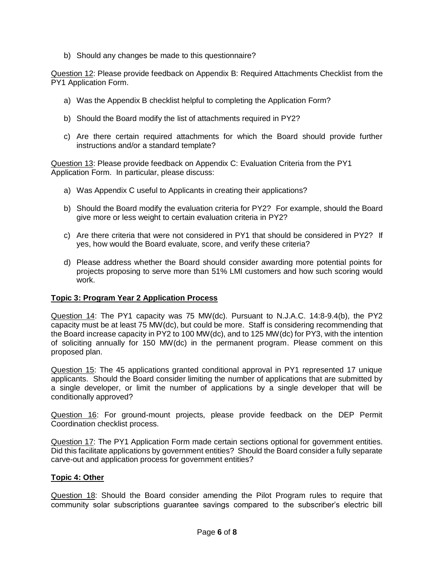b) Should any changes be made to this questionnaire?

Question 12: Please provide feedback on Appendix B: Required Attachments Checklist from the PY1 Application Form.

- a) Was the Appendix B checklist helpful to completing the Application Form?
- b) Should the Board modify the list of attachments required in PY2?
- c) Are there certain required attachments for which the Board should provide further instructions and/or a standard template?

Question 13: Please provide feedback on Appendix C: Evaluation Criteria from the PY1 Application Form. In particular, please discuss:

- a) Was Appendix C useful to Applicants in creating their applications?
- b) Should the Board modify the evaluation criteria for PY2? For example, should the Board give more or less weight to certain evaluation criteria in PY2?
- c) Are there criteria that were not considered in PY1 that should be considered in PY2? If yes, how would the Board evaluate, score, and verify these criteria?
- d) Please address whether the Board should consider awarding more potential points for projects proposing to serve more than 51% LMI customers and how such scoring would work.

### **Topic 3: Program Year 2 Application Process**

Question 14: The PY1 capacity was 75 MW(dc). Pursuant to N.J.A.C. 14:8-9.4(b), the PY2 capacity must be at least 75 MW(dc), but could be more. Staff is considering recommending that the Board increase capacity in PY2 to 100 MW(dc), and to 125 MW(dc) for PY3, with the intention of soliciting annually for 150 MW(dc) in the permanent program. Please comment on this proposed plan.

Question 15: The 45 applications granted conditional approval in PY1 represented 17 unique applicants. Should the Board consider limiting the number of applications that are submitted by a single developer, or limit the number of applications by a single developer that will be conditionally approved?

Question 16: For ground-mount projects, please provide feedback on the DEP Permit Coordination checklist process.

Question 17: The PY1 Application Form made certain sections optional for government entities. Did this facilitate applications by government entities? Should the Board consider a fully separate carve-out and application process for government entities?

### **Topic 4: Other**

Question 18: Should the Board consider amending the Pilot Program rules to require that community solar subscriptions guarantee savings compared to the subscriber's electric bill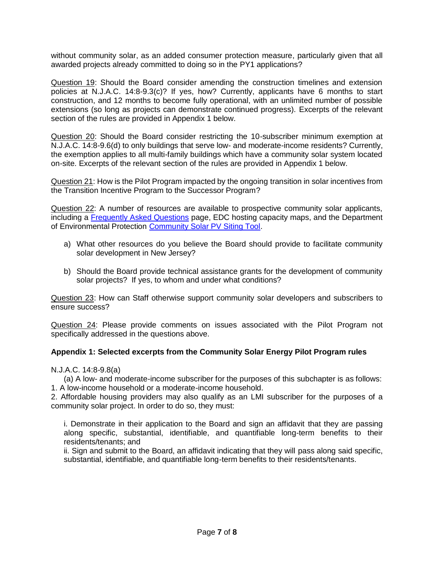without community solar, as an added consumer protection measure, particularly given that all awarded projects already committed to doing so in the PY1 applications?

Question 19: Should the Board consider amending the construction timelines and extension policies at N.J.A.C. 14:8-9.3(c)? If yes, how? Currently, applicants have 6 months to start construction, and 12 months to become fully operational, with an unlimited number of possible extensions (so long as projects can demonstrate continued progress). Excerpts of the relevant section of the rules are provided in Appendix 1 below.

Question 20: Should the Board consider restricting the 10-subscriber minimum exemption at N.J.A.C. 14:8-9.6(d) to only buildings that serve low- and moderate-income residents? Currently, the exemption applies to all multi-family buildings which have a community solar system located on-site. Excerpts of the relevant section of the rules are provided in Appendix 1 below.

Question 21: How is the Pilot Program impacted by the ongoing transition in solar incentives from the Transition Incentive Program to the Successor Program?

Question 22: A number of resources are available to prospective community solar applicants, including a [Frequently Asked Questions](https://njcleanenergy.com/renewable-energy/programs/community-solar/FAQs) page, EDC hosting capacity maps, and the Department of Environmental Protection [Community Solar PV Siting Tool.](https://www.nj.gov/dep/aqes/solar-siting.html)

- a) What other resources do you believe the Board should provide to facilitate community solar development in New Jersey?
- b) Should the Board provide technical assistance grants for the development of community solar projects? If yes, to whom and under what conditions?

Question 23: How can Staff otherwise support community solar developers and subscribers to ensure success?

Question 24: Please provide comments on issues associated with the Pilot Program not specifically addressed in the questions above.

### **Appendix 1: Selected excerpts from the Community Solar Energy Pilot Program rules**

N.J.A.C. 14:8-9.8(a)

(a) A low- and moderate-income subscriber for the purposes of this subchapter is as follows: 1. A low-income household or a moderate-income household.

2. Affordable housing providers may also qualify as an LMI subscriber for the purposes of a community solar project. In order to do so, they must:

i. Demonstrate in their application to the Board and sign an affidavit that they are passing along specific, substantial, identifiable, and quantifiable long-term benefits to their residents/tenants; and

ii. Sign and submit to the Board, an affidavit indicating that they will pass along said specific, substantial, identifiable, and quantifiable long-term benefits to their residents/tenants.